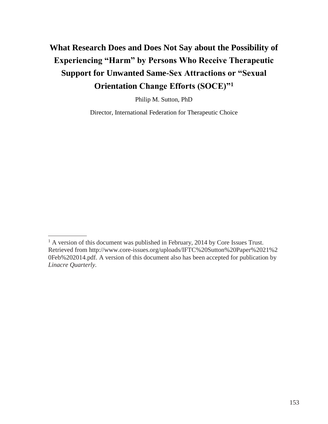# **What Research Does and Does Not Say about the Possibility of Experiencing "Harm" by Persons Who Receive Therapeutic Support for Unwanted Same-Sex Attractions or "Sexual Orientation Change Efforts (SOCE)"<sup>1</sup>**

Philip M. Sutton, PhD

Director, International Federation for Therapeutic Choice

<sup>&</sup>lt;sup>1</sup> A version of this document was published in February, 2014 by Core Issues Trust. Retrieved from [http://www.core-issues.org/uploads/IFTC%20Sutton%20Paper%2021%2](http://www.core-issues.org/uploads/IFTC%20Sutton%20Paper%2021%252) 0Feb%202014.pdf. A version of this document also has been accepted for publication by *Linacre Quarterly.*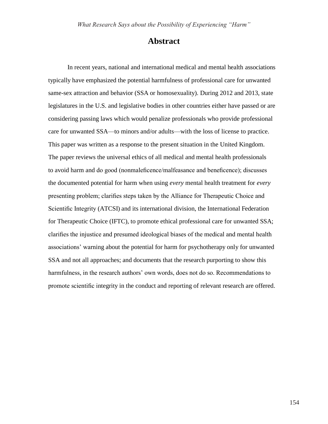### **Abstract**

In recent years, national and international medical and mental health associations typically have emphasized the potential harmfulness of professional care for unwanted same-sex attraction and behavior (SSA or homosexuality). During 2012 and 2013, state legislatures in the U.S. and legislative bodies in other countries either have passed or are considering passing laws which would penalize professionals who provide professional care for unwanted SSA—to minors and/or adults—with the loss of license to practice. This paper was written as a response to the present situation in the United Kingdom. The paper reviews the universal ethics of all medical and mental health professionals to avoid harm and do good (nonmaleficence/malfeasance and beneficence); discusses the documented potential for harm when using *every* mental health treatment for *every*  presenting problem; clarifies steps taken by the Alliance for Therapeutic Choice and Scientific Integrity (ATCSI) and its international division, the International Federation for Therapeutic Choice (IFTC), to promote ethical professional care for unwanted SSA; clarifies the injustice and presumed ideological biases of the medical and mental health associations' warning about the potential for harm for psychotherapy only for unwanted SSA and not all approaches; and documents that the research purporting to show this harmfulness, in the research authors' own words, does not do so. Recommendations to promote scientific integrity in the conduct and reporting of relevant research are offered.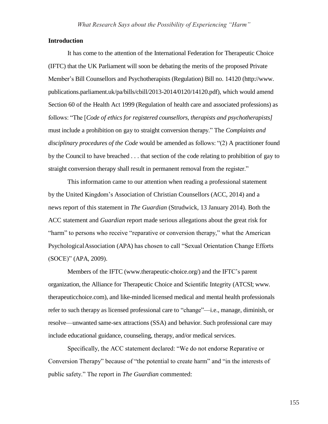#### **Introduction**

It has come to the attention of the International Federation for Therapeutic Choice (IFTC) that the UK Parliament will soon be debating the merits of the proposed Private Member's Bill Counsellors and Psychotherapists (Regulation) Bill no. 14120 [\(http://www.](http://www/) publications.parliament.uk/pa/bills/cbill/2013-2014/0120/14120.pdf), which would amend Section 60 of the Health Act 1999 (Regulation of health care and associated professions) as follows: "The [*Code of ethics for registered counsellors, therapists and psychotherapists]*  must include a prohibition on gay to straight conversion therapy." The *Complaints and disciplinary procedures of the Code* would be amended as follows: "(2) A practitioner found by the Council to have breached . . . that section of the code relating to prohibition of gay to straight conversion therapy shall result in permanent removal from the register."

This information came to our attention when reading a professional statement by the United Kingdom's Association of Christian Counsellors (ACC, 2014) and a news report of this statement in *The Guardian* (Strudwick, 13 January 2014). Both the ACC statement and *Guardian* report made serious allegations about the great risk for "harm" to persons who receive "reparative or conversion therapy," what the American PsychologicalAssociation (APA) has chosen to call "Sexual Orientation Change Efforts (SOCE)" (APA, 2009).

Members of the IFTC [\(www.therapeutic-choice.org/\) a](http://www.therapeutic-choice.org/))nd the IFTC's parent organization, the Alliance for Therapeutic Choice and Scientific Integrity (ATCSI[; www.](http://www/) therapeuticchoice.com), and like-minded licensed medical and mental health professionals refer to such therapy as licensed professional care to "change"—i.e., manage, diminish, or resolve—unwanted same-sex attractions (SSA) and behavior. Such professional care may include educational guidance, counseling, therapy, and/or medical services.

Specifically, the ACC statement declared: "We do not endorse Reparative or Conversion Therapy" because of "the potential to create harm" and "in the interests of public safety." The report in *The Guardian* commented: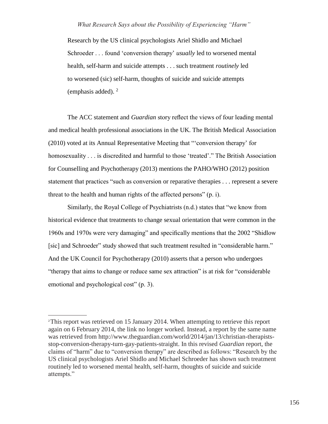Research by the US clinical psychologists Ariel Shidlo and Michael Schroeder . . . found 'conversion therapy' *usually* led to worsened mental health, self-harm and suicide attempts . . . such treatment *routinely* led to worsened (sic) self-harm, thoughts of suicide and suicide attempts (emphasis added).  $2^{\circ}$ 

The ACC statement and *Guardian* story reflect the views of four leading mental and medical health professional associations in the UK. The British Medical Association (2010) voted at its Annual Representative Meeting that "'conversion therapy' for homosexuality . . . is discredited and harmful to those 'treated'." The British Association for Counselling and Psychotherapy (2013) mentions the PAHO/WHO (2012) position statement that practices "such as conversion or reparative therapies . . . represent a severe threat to the health and human rights of the affected persons" (p. i).

Similarly, the Royal College of Psychiatrists (n.d.) states that "we know from historical evidence that treatments to change sexual orientation that were common in the 1960s and 1970s were very damaging" and specifically mentions that the 2002 "Shidlow [sic] and Schroeder" study showed that such treatment resulted in "considerable harm." And the UK Council for Psychotherapy (2010) asserts that a person who undergoes "therapy that aims to change or reduce same sex attraction" is at risk for "considerable emotional and psychological cost" (p. 3).

<sup>2</sup>This report was retrieved on 15 January 2014. When attempting to retrieve this report again on 6 February 2014, the link no longer worked. Instead, a report by the same name was retrieved from [http://www.theguardian.com/world/2014/jan/13/christian-therapists](http://www.theguardian.com/world/2014/jan/13/christian-therapists-)stop-conversion-therapy-turn-gay-patients-straight. In this revised *Guardian* report, the claims of "harm" due to "conversion therapy" are described as follows: "Research by the US clinical psychologists Ariel Shidlo and Michael Schroeder has shown such treatment routinely led to worsened mental health, self-harm, thoughts of suicide and suicide attempts."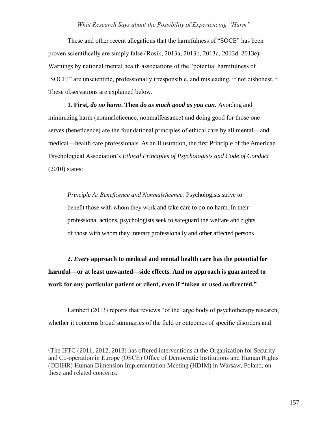These and other recent allegations that the harmfulness of "SOCE" has been proven scientifically are simply false (Rosik, 2013a, 2013b, 2013c, 2013d, 2013e). Warnings by national mental health associations of the "potential harmfulness of 'SOCE'" are unscientific, professionally irresponsible, and misleading, if not dishonest. <sup>3</sup> These observations are explained below.

**1. First,** *do no harm***. Then** *do as much good as you can***.** Avoiding and minimizing harm (nonmaleficence, nonmalfeasance) and doing good for those one serves (beneficence) are the foundational principles of ethical care by all mental—and medical—health care professionals. As an illustration, the first Principle of the American Psychological Association's *Ethical Principles of Psychologists and Code of Conduct*  (2010) states:

*Principle A: Beneficence and Nonmaleficence: Psychologists strive to* benefit those with whom they work and take care to do no harm. In their professional actions, psychologists seek to safeguard the welfare and rights of those with whom they interact professionally and other affected persons

**2.** *Every* **approach to medical and mental health care has the potential for harmful—or at least unwanted—side effects. And no approach is guaranteed to work for any particular patient or client, even if "taken or used asdirected."**

Lambert (2013) reports that reviews "of the large body of psychotherapy research, whether it concerns broad summaries of the field or outcomes of specific disorders and

<sup>&</sup>lt;sup>3</sup>The IFTC (2011, 2012, 2013) has offered interventions at the Organization for Security and Co-operation in Europe (OSCE) Office of Democratic Institutions and Human Rights (ODIHR) Human Dimension Implementation Meeting (HDIM) in Warsaw, Poland, on these and related concerns.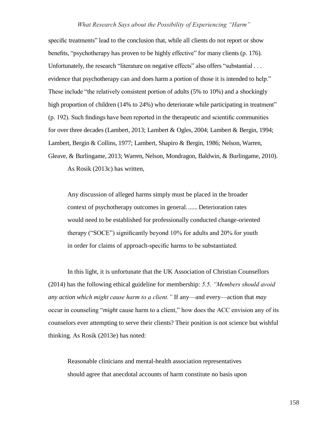specific treatments" lead to the conclusion that, while all clients do not report or show benefits, "psychotherapy has proven to be highly effective" for many clients (p. 176). Unfortunately, the research "literature on negative effects" also offers "substantial . . . evidence that psychotherapy can and does harm a portion of those it is intended to help." These include "the relatively consistent portion of adults (5% to 10%) and a shockingly high proportion of children (14% to 24%) who deteriorate while participating in treatment" (p. 192). Such findings have been reported in the therapeutic and scientific communities for over three decades (Lambert, 2013; Lambert & Ogles, 2004; Lambert & Bergin, 1994; Lambert, Bergin & Collins, 1977; Lambert, Shapiro & Bergin, 1986; Nelson, Warren, Gleave, & Burlingame, 2013; Warren, Nelson, Mondragon, Baldwin, & Burlingame, 2010). As Rosik (2013c) has written,

Any discussion of alleged harms simply must be placed in the broader context of psychotherapy outcomes in general....... Deterioration rates would need to be established for professionally conducted change-oriented therapy ("SOCE") significantly beyond 10% for adults and 20% for youth in order for claims of approach-specific harms to be substantiated.

In this light, it is unfortunate that the UK Association of Christian Counsellors (2014) has the following ethical guideline for membership: *5.5. "Members should avoid any action which might cause harm to a client."* If any—and every—action that *may*  occur in counseling "*might* cause harm to a client," how does the ACC envision any of its counselors ever attempting to serve their clients? Their position is not science but wishful thinking. As Rosik (2013e) has noted:

Reasonable clinicians and mental-health association representatives should agree that anecdotal accounts of harm constitute no basis upon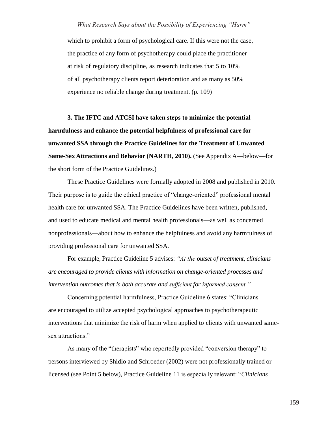which to prohibit a form of psychological care. If this were not the case, the practice of any form of psychotherapy could place the practitioner at risk of regulatory discipline, as research indicates that 5 to 10% of all psychotherapy clients report deterioration and as many as 50% experience no reliable change during treatment. (p. 109)

**3. The IFTC and ATCSI have taken steps to minimize the potential harmfulness and enhance the potential helpfulness of professional care for unwanted SSA through the Practice Guidelines for the Treatment of Unwanted Same-Sex Attractions and Behavior (NARTH, 2010).** (See Appendix A—below—for the short form of the Practice Guidelines.)

These Practice Guidelines were formally adopted in 2008 and published in 2010. Their purpose is to guide the ethical practice of "change-oriented" professional mental health care for unwanted SSA. The Practice Guidelines have been written, published, and used to educate medical and mental health professionals—as well as concerned nonprofessionals—about how to enhance the helpfulness and avoid any harmfulness of providing professional care for unwanted SSA.

For example, Practice Guideline 5 advises: *"At the outset of treatment, clinicians are encouraged to provide clients with information on change-oriented processes and intervention outcomes that is both accurate and sufficient for informed consent."*

Concerning potential harmfulness, Practice Guideline 6 states: "Clinicians are encouraged to utilize accepted psychological approaches to psychotherapeutic interventions that minimize the risk of harm when applied to clients with unwanted samesex attractions."

As many of the "therapists" who reportedly provided "conversion therapy" to persons interviewed by Shidlo and Schroeder (2002) were not professionally trained or licensed (see Point 5 below), Practice Guideline 11 is especially relevant: "*Clinicians*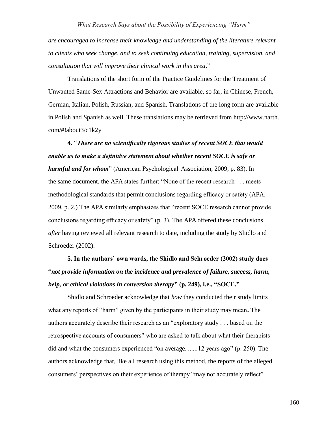*are encouraged to increase their knowledge and understanding of the literature relevant to clients who seek change, and to seek continuing education, training, supervision, and consultation that will improve their clinical work in this area*."

Translations of the short form of the Practice Guidelines for the Treatment of Unwanted Same-Sex Attractions and Behavior are available, so far, in Chinese, French, German, Italian, Polish, Russian, and Spanish. Translations of the long form are available in Polish and Spanish as well. These translations may be retrieved from http://www.narth. com/#!about3/c1k2y

**4.** "*There are no scientifically rigorous studies of recent SOCE that would enable us to make a definitive statement about whether recent SOCE is safe or harmful and for whom*" (American Psychological Association, 2009, p. 83). In the same document, the APA states further: "None of the recent research . . . meets methodological standards that permit conclusions regarding efficacy or safety (APA, 2009, p. 2.) The APA similarly emphasizes that "recent SOCE research cannot provide conclusions regarding efficacy or safety" (p. 3). The APA offered these conclusions *after* having reviewed all relevant research to date, including the study by Shidlo and Schroeder (2002).

**5. In the authors' own words, the Shidlo and Schroeder (2002) study does "***not provide information on the incidence and prevalence of failure, success, harm, help, or ethical violations in conversion therapy***" (p. 249), i.e., "SOCE."**

Shidlo and Schroeder acknowledge that *how* they conducted their study limits what any reports of "harm" given by the participants in their study may mean**.** The authors accurately describe their research as an "exploratory study . . . based on the retrospective accounts of consumers" who are asked to talk about what their therapists did and what the consumers experienced "on average. ......12 years ago" (p. 250). The authors acknowledge that, like all research using this method, the reports of the alleged consumers' perspectives on their experience of therapy "may not accurately reflect"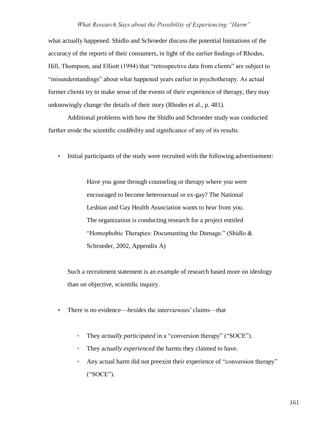what actually happened. Shidlo and Schroeder discuss the potential limitations of the accuracy of the reports of their consumers, in light of the earlier findings of Rhodes, Hill, Thompson, and Elliott (1994) that "retrospective data from clients" are subject to "misunderstandings" about what happened years earlier in psychotherapy. As actual former clients try to make sense of the events of their experience of therapy, they may unknowingly change the details of their story (Rhodes et al., p. 481).

Additional problems with how the Shidlo and Schroeder study was conducted further erode the scientific credibility and significance of any of its results.

• Initial participants of the study were recruited with the following advertisement:

Have you gone through counseling or therapy where you were encouraged to become heterosexual or ex-gay? The National Lesbian and Gay Health Association wants to hear from you. The organization is conducting research for a project entitled "Homophobic Therapies: Documenting the Damage." (Shidlo & Schroeder, 2002, Appendix A)

Such a recruitment statement is an example of research based more on ideology than on objective, scientific inquiry.

- There is *no* evidence—*besides* the interviewees' claims—that
	- They *actually participated* in a "conversion therapy" ("SOCE").
	- They a*ctually experienced* the harms they claimed to have.
	- Any actual harm did not preexist their experience of "conversion therapy" ("SOCE").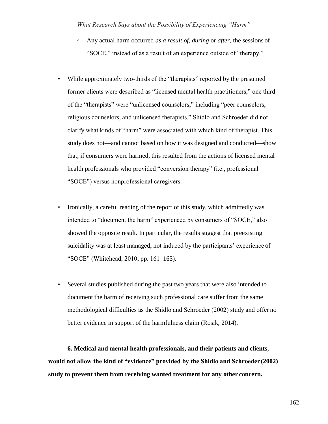- Any actual harm occurred *as a result of*, *during* or *after*, the sessions of "SOCE," instead of as a result of an experience outside of "therapy."
- While approximately two-thirds of the "therapists" reported by the presumed former clients were described as "licensed mental health practitioners," one third of the "therapists" were "unlicensed counselors," including "peer counselors, religious counselors, and unlicensed therapists." Shidlo and Schroeder did not clarify what kinds of "harm" were associated with which kind of therapist. This study does not—and cannot based on how it was designed and conducted—show that, if consumers were harmed, this resulted from the actions of licensed mental health professionals who provided "conversion therapy" (i.e., professional "SOCE") versus nonprofessional caregivers.
- Ironically, a careful reading of the report of this study, which admittedly was intended to "document the harm" experienced by consumers of "SOCE," also showed the opposite result. In particular, the results suggest that preexisting suicidality was at least managed, not induced by the participants' experience of "SOCE" (Whitehead, 2010, pp. 161–165).
- Several studies published during the past two years that were also intended to document the harm of receiving such professional care suffer from the same methodological difficulties as the Shidlo and Schroeder (2002) study and offer no better evidence in support of the harmfulness claim (Rosik, 2014).

**6. Medical and mental health professionals, and their patients and clients, would not allow the kind of "evidence" provided by the Shidlo and Schroeder (2002) study to prevent them from receiving wanted treatment for any other concern.**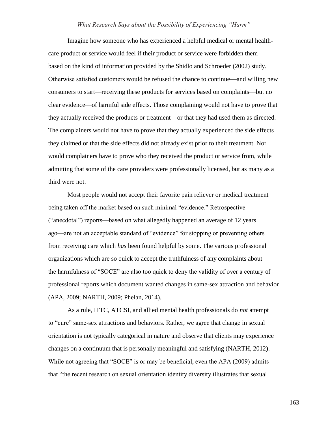Imagine how someone who has experienced a helpful medical or mental healthcare product or service would feel if their product or service were forbidden them based on the kind of information provided by the Shidlo and Schroeder (2002) study. Otherwise satisfied customers would be refused the chance to continue—and willing new consumers to start—receiving these products for services based on complaints—but no clear evidence—of harmful side effects. Those complaining would not have to prove that they actually received the products or treatment—or that they had used them as directed. The complainers would not have to prove that they actually experienced the side effects they claimed or that the side effects did not already exist prior to their treatment. Nor would complainers have to prove who they received the product or service from, while admitting that some of the care providers were professionally licensed, but as many as a third were not.

Most people would not accept their favorite pain reliever or medical treatment being taken off the market based on such minimal "evidence." Retrospective ("anecdotal") reports—based on what allegedly happened an average of 12 years ago—are not an acceptable standard of "evidence" for stopping or preventing others from receiving care which *has* been found helpful by some. The various professional organizations which are so quick to accept the truthfulness of any complaints about the harmfulness of "SOCE" are also too quick to deny the validity of over a century of professional reports which document wanted changes in same-sex attraction and behavior (APA, 2009; NARTH, 2009; Phelan, 2014).

As a rule, IFTC, ATCSI, and allied mental health professionals do *not* attempt to "cure" same-sex attractions and behaviors. Rather, we agree that change in sexual orientation is not typically categorical in nature and observe that clients may experience changes on a continuum that is personally meaningful and satisfying (NARTH, 2012). While not agreeing that "SOCE" is or may be beneficial, even the APA (2009) admits that "the recent research on sexual orientation identity diversity illustrates that sexual

163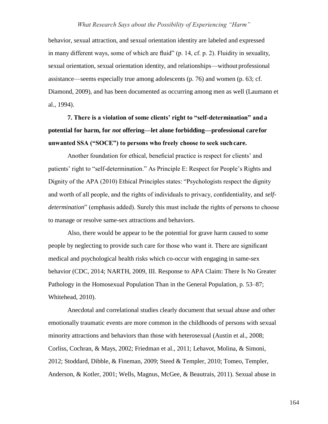behavior, sexual attraction, and sexual orientation identity are labeled and expressed in many different ways, some of which are fluid" (p. 14, cf. p. 2). Fluidity in sexuality, sexual orientation, sexual orientation identity, and relationships—without professional assistance—seems especially true among adolescents (p. 76) and women (p. 63; cf. Diamond, 2009), and has been documented as occurring among men as well (Laumann et al., 1994).

**7. There is a violation of some clients' right to "self-determination" anda potential for harm, for** *not* **offering—let alone forbidding—professional care for unwanted SSA ("SOCE") to persons who freely choose to seek suchcare.**

Another foundation for ethical, beneficial practice is respect for clients' and patients' right to "self-determination." As Principle E: Respect for People's Rights and Dignity of the APA (2010) Ethical Principles states: "Psychologists respect the dignity and worth of all people, and the rights of individuals to privacy, confidentiality, and *selfdetermination*" (emphasis added). Surely this must include the rights of persons to choose to manage or resolve same-sex attractions and behaviors.

Also, there would be appear to be the potential for grave harm caused to some people by neglecting to provide such care for those who want it. There are significant medical and psychological health risks which co-occur with engaging in same-sex behavior (CDC, 2014; NARTH, 2009, III. Response to APA Claim: There Is No Greater Pathology in the Homosexual Population Than in the General Population, p. 53–87; Whitehead, 2010).

Anecdotal and correlational studies clearly document that sexual abuse and other emotionally traumatic events are more common in the childhoods of persons with sexual minority attractions and behaviors than those with heterosexual (Austin et al., 2008; Corliss, Cochran, & Mays, 2002; Friedman et al., 2011; Lehavot, Molina, & Simoni, 2012; Stoddard, Dibble, & Fineman, 2009; Steed & Templer, 2010; Tomeo, Templer, Anderson, & Kotler, 2001; Wells, Magnus, McGee, & Beautrais, 2011). Sexual abuse in

164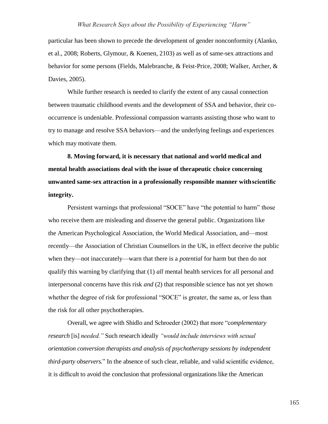particular has been shown to precede the development of gender nonconformity (Alanko, et al., 2008; Roberts, Glymour, & Koenen, 2103) as well as of same-sex attractions and behavior for some persons (Fields, Malebranche, & Feist-Price, 2008; Walker, Archer, & Davies, 2005).

While further research is needed to clarify the extent of any causal connection between traumatic childhood events and the development of SSA and behavior, their cooccurrence is undeniable. Professional compassion warrants assisting those who want to try to manage and resolve SSA behaviors—and the underlying feelings and experiences which may motivate them.

**8. Moving forward, it is necessary that national and world medical and mental health associations deal with the issue of therapeutic choice concerning unwanted same-sex attraction in a professionally responsible manner withscientific integrity.**

Persistent warnings that professional "SOCE" have "the potential to harm" those who receive them are misleading and disserve the general public. Organizations like the American Psychological Association, the World Medical Association, and—most recently—the Association of Christian Counsellors in the UK, in effect deceive the public when they—not inaccurately—warn that there is a *potential* for harm but then do not qualify this warning by clarifying that (1) *all* mental health services for all personal and interpersonal concerns have this risk *and* (2) that responsible science has not yet shown whether the degree of risk for professional "SOCE" is greater, the same as, or less than the risk for all other psychotherapies.

Overall, we agree with Shidlo and Schroeder (2002) that more "c*omplementary research* [is] *needed."* Such research ideally *"would include interviews with sexual orientation conversion therapists and analysis of psychotherapy sessions by independent third-party observers.*" In the absence of such clear, reliable, and valid scientific evidence, it is difficult to avoid the conclusion that professional organizations like the American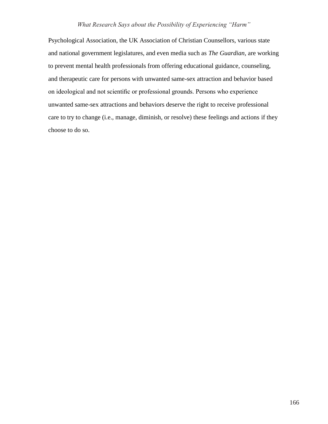Psychological Association, the UK Association of Christian Counsellors, various state and national government legislatures, and even media such as *The Guardian*, are working to prevent mental health professionals from offering educational guidance, counseling, and therapeutic care for persons with unwanted same-sex attraction and behavior based on ideological and not scientific or professional grounds. Persons who experience unwanted same-sex attractions and behaviors deserve the right to receive professional care to try to change (i.e., manage, diminish, or resolve) these feelings and actions if they choose to do so.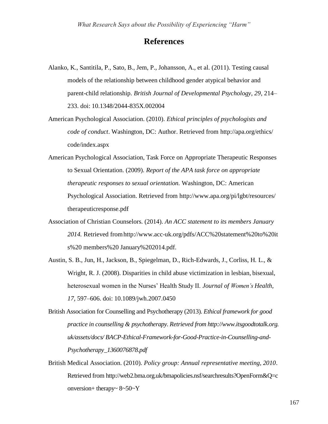### **References**

- Alanko, K., Santitila, P., Sato, B., Jem, P., Johansson, A., et al. (2011). Testing causal models of the relationship between childhood gender atypical behavior and parent-child relationship. *British Journal of Developmental Psychology, 29*, 214– 233. doi: 10.1348/2044-835X.002004
- American Psychological Association. (2010). *Ethical principles of psychologists and code of conduct*. Washington, DC: Author. Retrieved from<http://apa.org/ethics/> code/index.aspx
- American Psychological Association, Task Force on Appropriate Therapeutic Responses to Sexual Orientation. (2009). *Report of the APA task force on appropriate therapeutic responses to sexual orientation.* Washington, DC: American Psychological Association. Retrieved from<http://www.apa.org/pi/lgbt/resources/> therapeuticresponse.pdf
- Association of Christian Counselors. (2014). *An ACC statement to its members January 2014.* Retrieved fro[mhttp://www.acc-uk.org/pdfs/ACC%20statement%20to%20it](http://www.acc-uk.org/pdfs/ACC%20statement%20to%20it) s%20 members%20 January%202014.pdf.
- Austin, S. B., Jun, H., Jackson, B., Spiegelman, D., Rich-Edwards, J., Corliss, H. L., & Wright, R. J. (2008). Disparities in child abuse victimization in lesbian, bisexual, heterosexual women in the Nurses' Health Study II. *Journal of Women's Health, 17,* 597–606. doi: 10.1089/jwh.2007.0450
- British Association for Counselling and Psychotherapy (2013). *Ethical framework for good practice in counselling & psychotherapy. Retrieved fro[m http://www.itsgoodtotalk.org.](http://www.itsgoodtotalk.org/) uk/assets/docs/ BACP-Ethical-Framework-for-Good-Practice-in-Counselling-and-Psychotherapy\_1360076878.pdf*
- British Medical Association. (2010). *Policy group: Annual representative meeting, 2010*. Retrieved fro[m http://web2.bma.org.uk/bmapolicies.nsf/searchresults?OpenForm&Q=c](http://web2.bma.org.uk/bmapolicies.nsf/searchresults?OpenForm&Q=c) onversion+ therapy~  $8 \sim 50 \sim Y$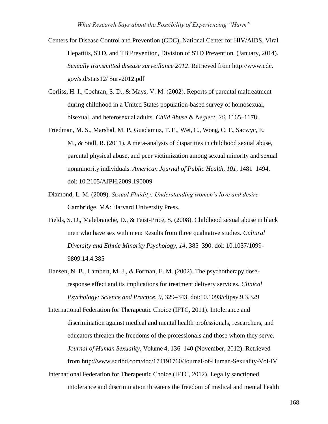- Centers for Disease Control and Prevention (CDC), National Center for HIV/AIDS, Viral Hepatitis, STD, and TB Prevention, Division of STD Prevention. (January, 2014). *Sexually transmitted disease surveillance 2012*. Retrieved from http://www.cdc. gov/std/stats12/ Surv2012.pdf
- Corliss, H. I., Cochran, S. D., & Mays, V. M. (2002). Reports of parental maltreatment during childhood in a United States population-based survey of homosexual, bisexual, and heterosexual adults. *Child Abuse & Neglect, 26*, 1165–1178.
- Friedman, M. S., Marshal, M. P., Guadamuz, T. E., Wei, C., Wong, C. F., Sacwyc, E. M., & Stall, R. (2011). A meta-analysis of disparities in childhood sexual abuse, parental physical abuse, and peer victimization among sexual minority and sexual nonminority individuals. *American Journal of Public Health, 101*, 1481–1494. doi: 10.2105/AJPH.2009.190009
- Diamond, L. M. (2009). *Sexual Fluidity: Understanding women's love and desire.* Cambridge, MA: Harvard University Press.
- Fields, S. D., Malebranche, D., & Feist-Price, S. (2008). Childhood sexual abuse in black men who have sex with men: Results from three qualitative studies. *Cultural Diversity and Ethnic Minority Psychology, 14*, 385–390. doi: 10.1037/1099- 9809.14.4.385
- Hansen, N. B., Lambert, M. J., & Forman, E. M. (2002). The psychotherapy doseresponse effect and its implications for treatment delivery services. *Clinical Psychology: Science and Practice, 9*, 329–343. doi:10.1093/clipsy.9.3.329

International Federation for Therapeutic Choice (IFTC, 2011). Intolerance and discrimination against medical and mental health professionals, researchers, and educators threaten the freedoms of the professionals and those whom they serve. *Journal of Human Sexuality,* Volume 4, 136–140 (November, 2012). Retrieved from <http://www.scribd.com/doc/174191760/Journal-of-Human-Sexuality-Vol-IV>

International Federation for Therapeutic Choice (IFTC, 2012). Legally sanctioned intolerance and discrimination threatens the freedom of medical and mental health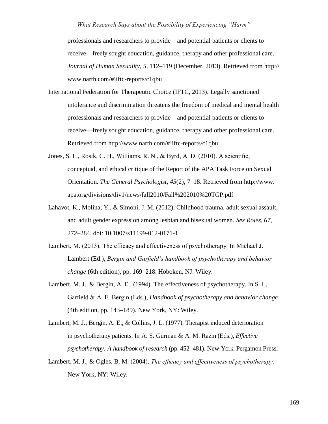professionals and researchers to provide—and potential patients or clients to receive—freely sought education, guidance, therapy and other professional care*. Journal of Human Sexuality, 5*, 112–119 (December, 2013). Retrieved from http:// [www.narth.com/#!iftc-reports/c1qbu](http://www.narth.com/%23!iftc-reports/c1qbu)

- International Federation for Therapeutic Choice (IFTC, 2013). Legally sanctioned intolerance and discrimination threatens the freedom of medical and mental health professionals and researchers to provide—and potential patients or clients to receive—freely sought education, guidance, therapy and other professional care*.*  Retrieved from [http://www.narth.com/#!iftc-reports/c1qbu](http://www.narth.com/%23!iftc-reports/c1qbu)
- Jones, S. L., Rosik, C. H., Williams, R. N., & Byrd, A. D. (2010). A scientific, conceptual, and ethical critique of the Report of the APA Task Force on Sexual Orientation. *The General Psychologist, 45*(2), 7–18. Retrieved from [http://www.](http://www/) apa.org/divisions/div1/news/fall2010/Fall%202010%20TGP.pdf
- Lahavot, K., Molina, Y., & Simoni, J. M. (2012). Childhood trauma, adult sexual assault, and adult gender expression among lesbian and bisexual women. *Sex Roles, 67*, 272–284. doi: 10.1007/s11199-012-0171-1
- Lambert, M. (2013). The efficacy and effectiveness of psychotherapy. In Michael J. Lambert (Ed.), *Bergin and Garfield's handbook of psychotherapy and behavior change* (6th edition), pp. 169–218. Hoboken, NJ: Wiley.
- Lambert, M. J., & Bergin, A. E., (1994). The effectiveness of psychotherapy. In S. L. Garfield & A. E. Bergin (Eds.), *Handbook of psychotherapy and behavior change*  (4th edition, pp. 143–189). New York, NY: Wiley.
- Lambert, M. J., Bergin, A. E., & Collins, J. L. (1977). Therapist induced deterioration in psychotherapy patients. In A. S. Gurman & A. M. Razin (Eds.), *Effective psychotherapy: A handbook of research* (pp. 452–481). New York: Pergamon Press.
- Lambert, M. J., & Ogles, B. M. (2004). *The efficacy and effectiveness of psychotherapy.* New York, NY: Wiley.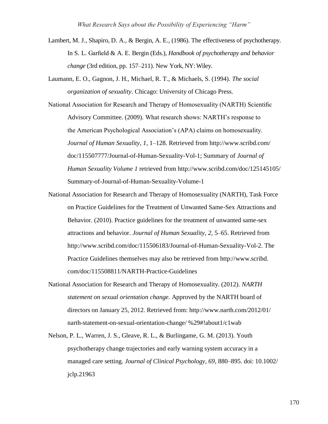- Lambert, M. J., Shapiro, D. A., & Bergin, A. E., (1986). The effectiveness of psychotherapy. In S. L. Garfield & A. E. Bergin (Eds.), *Handbook of psychotherapy and behavior change* (3rd edition, pp. 157–211). New York, NY: Wiley.
- Laumann, E. O., Gagnon, J. H., Michael, R. T., & Michaels, S. (1994). *The social organization of sexuality*. Chicago: University of Chicago Press.
- National Association for Research and Therapy of Homosexuality (NARTH) Scientific Advisory Committee. (2009). What research shows: NARTH's response to the American Psychological Association's (APA) claims on homosexuality. *Journal of Human Sexuality*, *1,* 1–128. Retrieved from<http://www.scribd.com/> doc/115507777/Journal-of-Human-Sexuality-Vol-1; Summary of *Journal of Human Sexuality Volume 1* retrieved from<http://www.scribd.com/doc/125145105/> Summary-of-Journal-of-Human-Sexuality-Volume-1
- National Association for Research and Therapy of Homosexuality (NARTH), Task Force on Practice Guidelines for the Treatment of Unwanted Same-Sex Attractions and Behavior. (2010). Practice guidelines for the treatment of unwanted same-sex attractions and behavior. *Journal of Human Sexuality, 2,* 5–65. Retrieved from [http://www.scribd.com/doc/115506183/Journal-of-Human-Sexuality-Vol-2. T](http://www.scribd.com/doc/115506183/Journal-of-Human-Sexuality-Vol-2)he Practice Guidelines themselves may also be retrieved from http://www.scribd. com/doc/115508811/NARTH-Practice-Guidelines
- National Association for Research and Therapy of Homosexuality. (2012). *NARTH statement on sexual orientation change.* Approved by the NARTH board of directors on January 25, 2012. Retrieved from:<http://www.narth.com/2012/01/> narth-statement-on-sexual-orientation-change/ %29#!about1/c1wab
- Nelson, P. L., Warren, J. S., Gleave, R. L., & Burlingame, G. M. (2013). Youth psychotherapy change trajectories and early warning system accuracy in a managed care setting. *Journal of Clinical Psychology, 69*, 880–895. doi: 10.1002/ jclp.21963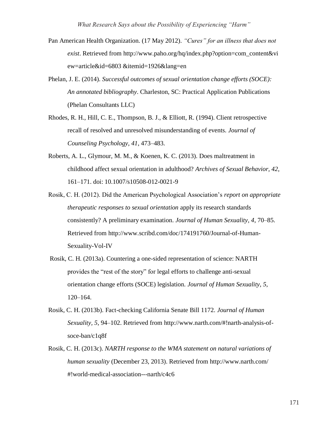- Pan American Health Organization. (17 May 2012). *"Cures" for an illness that does not exist*. Retrieved from [http://www.paho.org/hq/index.php?option=com\\_content&vi](http://www.paho.org/hq/index.php?option=com_content&vi) ew=article&id=6803 &itemid=1926&lang=en
- Phelan, J. E. (2014). *Successful outcomes of sexual orientation change efforts (SOCE): An annotated bibliography*. Charleston, SC: Practical Application Publications (Phelan Consultants LLC)
- Rhodes, R. H., Hill, C. E., Thompson, B. J., & Elliott, R. (1994). Client retrospective recall of resolved and unresolved misunderstanding of events. *Journal of Counseling Psychology, 41*, 473–483.
- Roberts, A. L., Glymour, M. M., & Koenen, K. C. (2013). Does maltreatment in childhood affect sexual orientation in adulthood? *Archives of Sexual Behavior, 42*, 161–171. doi: 10.1007/s10508-012-0021-9
- Rosik, C. H. (2012). Did the American Psychological Association's *report on appropriate therapeutic responses to sexual orientation* apply its research standards consistently? A preliminary examination. *Journal of Human Sexuality, 4*, 70–85. Retrieved from<http://www.scribd.com/doc/174191760/Journal-of-Human->Sexuality-Vol-IV
- Rosik, C. H. (2013a). Countering a one-sided representation of science: NARTH provides the "rest of the story" for legal efforts to challenge anti-sexual orientation change efforts (SOCE) legislation. *Journal of Human Sexuality, 5*, 120–164.
- Rosik, C. H. (2013b). Fact-checking California Senate Bill 1172. *Journal of Human Sexuality, 5*, 94–102. Retrieved from [http://www.narth.com/#!narth-analysis-of](http://www.narth.com/#!narth-analysis-of-)soce-ban/c1q8f
- Rosik, C. H. (2013c). *NARTH response to the WMA statement on natural variations of human sexuality* (December 23, 2013). Retrieved from<http://www.narth.com/> #!world-medical-association---narth/c4c6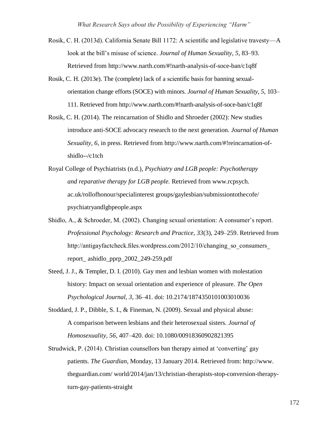Rosik, C. H. (2013d). California Senate Bill 1172: A scientific and legislative travesty—A look at the bill's misuse of science. *Journal of Human Sexuality, 5*, 83–93. Retrieved from [http://www.narth.com/#!narth-analysis-of-soce-ban/c1q8f](http://www.narth.com/%23!narth-analysis-of-soce-ban/c1q8f)

- Rosik, C. H. (2013e). The (complete) lack of a scientific basis for banning sexualorientation change efforts (SOCE) with minors. *Journal of Human Sexuality, 5*, 103– 111. Retrieved from [http://www.narth.com/#!narth-analysis-of-soce-ban/c1q8f](http://www.narth.com/%23!narth-analysis-of-soce-ban/c1q8f)
- Rosik, C. H. (2014). The reincarnation of Shidlo and Shroeder (2002): New studies introduce anti-SOCE advocacy research to the next generation. *Journal of Human Sexuality, 6*, in press. Retrieved from [http://www.narth.com/#!reincarnation-of](http://www.narth.com/#!reincarnation-of-)shidlo--/c1tch
- Royal College of Psychiatrists (n.d.), *Psychiatry and LGB people: Psychotherapy and reparative therapy for LGB people.* Retrieved from www.rcpsych. ac.uk/rollofhonour/specialinterest groups/gaylesbian/submissiontothecofe/ psychiatryandlgbpeople.aspx
- Shidlo, A., & Schroeder, M. (2002). Changing sexual orientation: A consumer's report. *Professional Psychology: Research and Practice, 33*(3), 249–259. Retrieved from [http://antigayfactcheck.files.wordpress.com/2012/10/changing\\_so\\_consumers\\_](http://antigayfactcheck.files.wordpress.com/2012/10/changing_so_consumers_) report\_ ashidlo\_pprp\_2002\_249-259.pdf
- Steed, J. J., & Templer, D. I. (2010). Gay men and lesbian women with molestation history: Impact on sexual orientation and experience of pleasure. *The Open Psychological Journal, 3*, 36–41. doi: 10.2174/1874350101003010036
- Stoddard, J. P., Dibble, S. I., & Fineman, N. (2009). Sexual and physical abuse: A comparison between lesbians and their heterosexual sisters. *Journal of Homosexuality, 56*, 407–420. doi: 10.1080/00918360902821395
- Strudwick, P. (2014). Christian counsellors ban therapy aimed at 'converting' gay patients. *The Guardian*, Monday, 13 January 2014. Retrieved from: [http://www.](http://www/) theguardian.com/ world/2014/jan/13/christian-therapists-stop-conversion-therapyturn-gay-patients-straight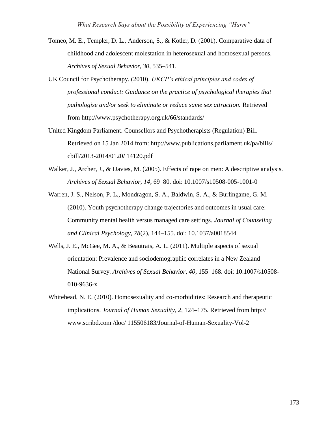- Tomeo, M. E., Templer, D. L., Anderson, S., & Kotler, D. (2001). Comparative data of childhood and adolescent molestation in heterosexual and homosexual persons. *Archives of Sexual Behavior, 30*, 535–541.
- UK Council for Psychotherapy. (2010). *UKCP's ethical principles and codes of professional conduct: Guidance on the practice of psychological therapies that pathologise and/or seek to eliminate or reduce same sex attraction.* Retrieved from<http://www.psychotherapy.org.uk/66/standards/>
- United Kingdom Parliament. Counsellors and Psychotherapists (Regulation) Bill. Retrieved on 15 Jan 2014 from:<http://www.publications.parliament.uk/pa/bills/> cbill/2013-2014/0120/ 14120.pdf
- Walker, J., Archer, J., & Davies, M. (2005). Effects of rape on men: A descriptive analysis. *Archives of Sexual Behavior, 14*, 69–80. doi: 10.1007/s10508-005-1001-0
- Warren, J. S., Nelson, P. L., Mondragon, S. A., Baldwin, S. A., & Burlingame, G. M. (2010). Youth psychotherapy change trajectories and outcomes in usual care: Community mental health versus managed care settings. *Journal of Counseling and Clinical Psychology, 78*(2), 144–155. doi: 10.1037/a0018544
- Wells, J. E., McGee, M. A., & Beautrais, A. L. (2011). Multiple aspects of sexual orientation: Prevalence and sociodemographic correlates in a New Zealand National Survey. *Archives of Sexual Behavior, 40*, 155–168. doi: 10.1007/s10508- 010-9636-x
- Whitehead, N. E. (2010). Homosexuality and co-morbidities: Research and therapeutic implications. *Journal of Human Sexuality, 2,* 124–175*.* Retrieved from http:// [www.scribd.com](http://www.scribd.com/) /doc/ 115506183/Journal-of-Human-Sexuality-Vol-2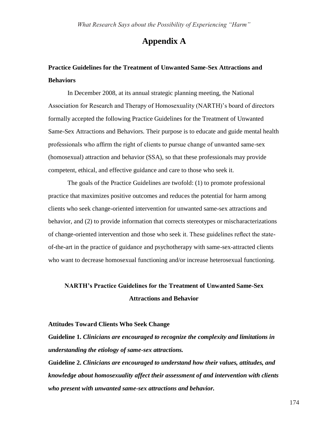### **Appendix A**

## **Practice Guidelines for the Treatment of Unwanted Same-Sex Attractions and Behaviors**

In December 2008, at its annual strategic planning meeting, the National Association for Research and Therapy of Homosexuality (NARTH)'s board of directors formally accepted the following Practice Guidelines for the Treatment of Unwanted Same-Sex Attractions and Behaviors. Their purpose is to educate and guide mental health professionals who affirm the right of clients to pursue change of unwanted same-sex (homosexual) attraction and behavior (SSA), so that these professionals may provide competent, ethical, and effective guidance and care to those who seek it.

The goals of the Practice Guidelines are twofold: (1) to promote professional practice that maximizes positive outcomes and reduces the potential for harm among clients who seek change-oriented intervention for unwanted same-sex attractions and behavior, and (2) to provide information that corrects stereotypes or mischaracterizations of change-oriented intervention and those who seek it. These guidelines reflect the stateof-the-art in the practice of guidance and psychotherapy with same-sex-attracted clients who want to decrease homosexual functioning and/or increase heterosexual functioning.

# **NARTH's Practice Guidelines for the Treatment of Unwanted Same-Sex Attractions and Behavior**

#### **Attitudes Toward Clients Who Seek Change**

**Guideline 1.** *Clinicians are encouraged to recognize the complexity and limitations in understanding the etiology of same-sex attractions.*

**Guideline 2.** *Clinicians are encouraged to understand how their values, attitudes, and knowledge about homosexuality affect their assessment of and intervention with clients who present with unwanted same-sex attractions and behavior.*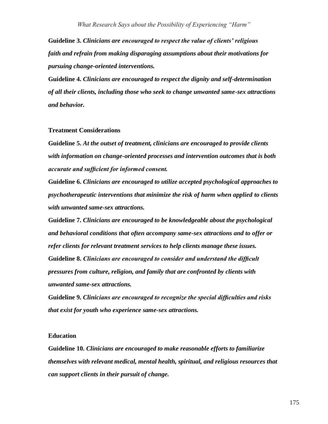**Guideline 3.** *Clinicians are encouraged to respect the value of clients' religious faith and refrain from making disparaging assumptions about their motivations for pursuing change-oriented interventions.*

**Guideline 4.** *Clinicians are encouraged to respect the dignity and self-determination of all their clients, including those who seek to change unwanted same-sex attractions and behavior.*

#### **Treatment Considerations**

**Guideline 5.** *At the outset of treatment, clinicians are encouraged to provide clients with information on change-oriented processes and intervention outcomes that is both accurate and sufficient for informed consent.*

**Guideline 6.** *Clinicians are encouraged to utilize accepted psychological approaches to psychotherapeutic interventions that minimize the risk of harm when applied to clients with unwanted same-sex attractions.*

**Guideline 7.** *Clinicians are encouraged to be knowledgeable about the psychological and behavioral conditions that often accompany same-sex attractions and to offer or refer clients for relevant treatment services to help clients manage these issues.* **Guideline 8.** *Clinicians are encouraged to consider and understand the difficult pressures from culture, religion, and family that are confronted by clients with unwanted same-sex attractions.*

**Guideline 9.** *Clinicians are encouraged to recognize the special difficulties and risks that exist for youth who experience same-sex attractions.*

#### **Education**

**Guideline 10.** *Clinicians are encouraged to make reasonable efforts to familiarize themselves with relevant medical, mental health, spiritual, and religious resources that can support clients in their pursuit of change.*